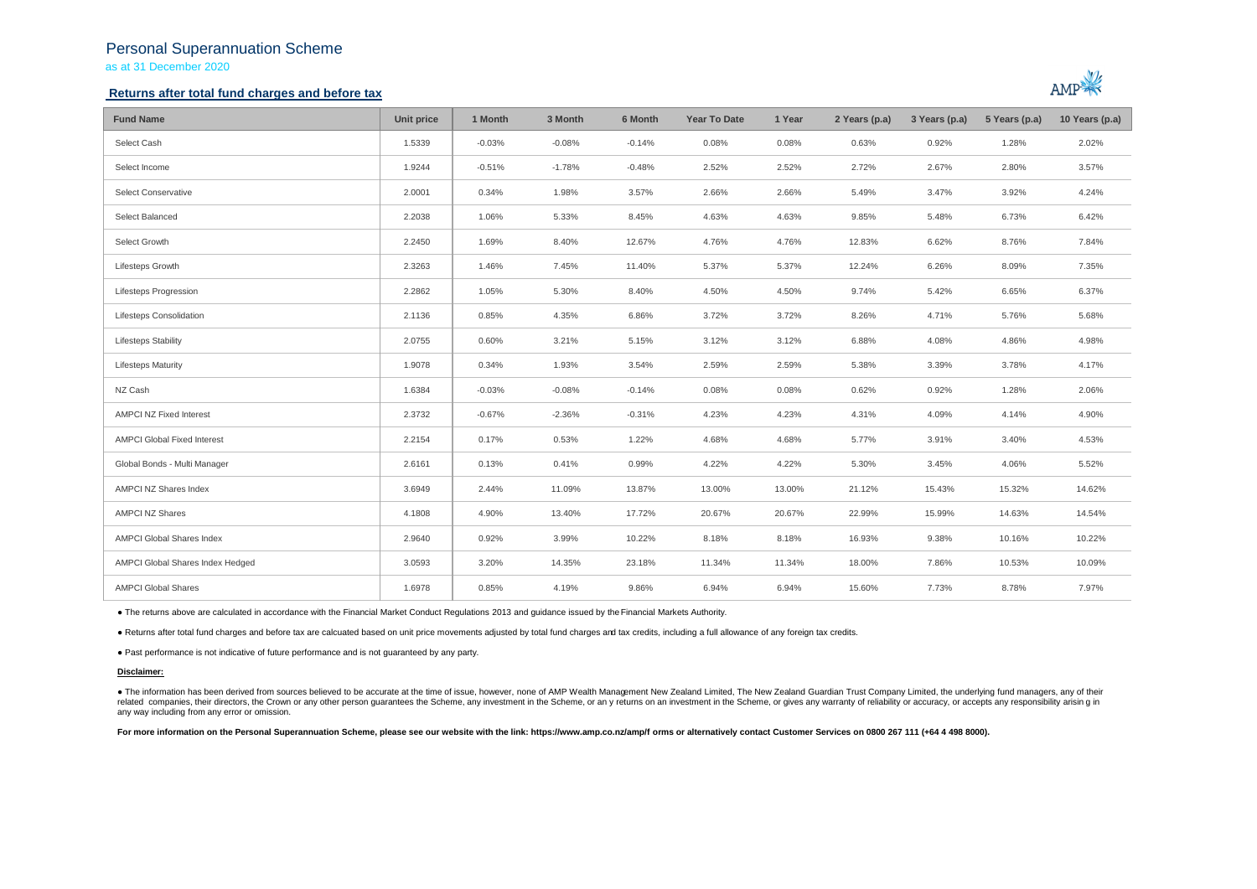## Personal Superannuation Scheme

as at 31 December 2020

## **Returns after total fund charges and before tax**



| <b>Fund Name</b>                   | Unit price | 1 Month  | 3 Month  | 6 Month  | <b>Year To Date</b> | 1 Year | 2 Years (p.a) | 3 Years (p.a) | 5 Years (p.a) | 10 Years (p.a) |
|------------------------------------|------------|----------|----------|----------|---------------------|--------|---------------|---------------|---------------|----------------|
| Select Cash                        | 1.5339     | $-0.03%$ | $-0.08%$ | $-0.14%$ | 0.08%               | 0.08%  | 0.63%         | 0.92%         | 1.28%         | 2.02%          |
| Select Income                      | 1.9244     | $-0.51%$ | $-1.78%$ | $-0.48%$ | 2.52%               | 2.52%  | 2.72%         | 2.67%         | 2.80%         | 3.57%          |
| Select Conservative                | 2.0001     | 0.34%    | 1.98%    | 3.57%    | 2.66%               | 2.66%  | 5.49%         | 3.47%         | 3.92%         | 4.24%          |
| Select Balanced                    | 2.2038     | 1.06%    | 5.33%    | 8.45%    | 4.63%               | 4.63%  | 9.85%         | 5.48%         | 6.73%         | 6.42%          |
| Select Growth                      | 2.2450     | 1.69%    | 8.40%    | 12.67%   | 4.76%               | 4.76%  | 12.83%        | 6.62%         | 8.76%         | 7.84%          |
| Lifesteps Growth                   | 2.3263     | 1.46%    | 7.45%    | 11.40%   | 5.37%               | 5.37%  | 12.24%        | 6.26%         | 8.09%         | 7.35%          |
| Lifesteps Progression              | 2.2862     | 1.05%    | 5.30%    | 8.40%    | 4.50%               | 4.50%  | 9.74%         | 5.42%         | 6.65%         | 6.37%          |
| Lifesteps Consolidation            | 2.1136     | 0.85%    | 4.35%    | 6.86%    | 3.72%               | 3.72%  | 8.26%         | 4.71%         | 5.76%         | 5.68%          |
| <b>Lifesteps Stability</b>         | 2.0755     | 0.60%    | 3.21%    | 5.15%    | 3.12%               | 3.12%  | 6.88%         | 4.08%         | 4.86%         | 4.98%          |
| <b>Lifesteps Maturity</b>          | 1.9078     | 0.34%    | 1.93%    | 3.54%    | 2.59%               | 2.59%  | 5.38%         | 3.39%         | 3.78%         | 4.17%          |
| NZ Cash                            | 1.6384     | $-0.03%$ | $-0.08%$ | $-0.14%$ | 0.08%               | 0.08%  | 0.62%         | 0.92%         | 1.28%         | 2.06%          |
| <b>AMPCI NZ Fixed Interest</b>     | 2.3732     | $-0.67%$ | $-2.36%$ | $-0.31%$ | 4.23%               | 4.23%  | 4.31%         | 4.09%         | 4.14%         | 4.90%          |
| <b>AMPCI Global Fixed Interest</b> | 2.2154     | 0.17%    | 0.53%    | 1.22%    | 4.68%               | 4.68%  | 5.77%         | 3.91%         | 3.40%         | 4.53%          |
| Global Bonds - Multi Manager       | 2.6161     | 0.13%    | 0.41%    | 0.99%    | 4.22%               | 4.22%  | 5.30%         | 3.45%         | 4.06%         | 5.52%          |
| AMPCI NZ Shares Index              | 3.6949     | 2.44%    | 11.09%   | 13.87%   | 13.00%              | 13.00% | 21.12%        | 15.43%        | 15.32%        | 14.62%         |
| <b>AMPCI NZ Shares</b>             | 4.1808     | 4.90%    | 13.40%   | 17.72%   | 20.67%              | 20.67% | 22.99%        | 15.99%        | 14.63%        | 14.54%         |
| AMPCI Global Shares Index          | 2.9640     | 0.92%    | 3.99%    | 10.22%   | 8.18%               | 8.18%  | 16.93%        | 9.38%         | 10.16%        | 10.22%         |
| AMPCI Global Shares Index Hedged   | 3.0593     | 3.20%    | 14.35%   | 23.18%   | 11.34%              | 11.34% | 18.00%        | 7.86%         | 10.53%        | 10.09%         |
| <b>AMPCI Global Shares</b>         | 1.6978     | 0.85%    | 4.19%    | 9.86%    | 6.94%               | 6.94%  | 15.60%        | 7.73%         | 8.78%         | 7.97%          |

● The returns above are calculated in accordance with the Financial Market Conduct Regulations 2013 and guidance issued by the Financial Markets Authority.

● Returns after total fund charges and before tax are calcuated based on unit price movements adjusted by total fund charges and tax credits, including a full allowance of any foreign tax credits.

● Past performance is not indicative of future performance and is not guaranteed by any party.

### **Disclaimer:**

. The information has been derived from sources believed to be accurate at the time of issue, however, none of AMP Wealth Management New Zealand Limited, The New Zealand Guardian Trust Company Limited, the underlying fund related companies, their directors, the Crown or any other person quarantees the Scheme, any investment in the Scheme, or any returns on an investment in the Scheme, or gives any warranty of reliability or accuracy, or acc any way including from any error or omission.

For more information on the Personal Superannuation Scheme, please see our website with the link: https://www.amp.co.nz/amp/f orms or alternatively contact Customer Services on 0800 267 111 (+64 4 498 8000).